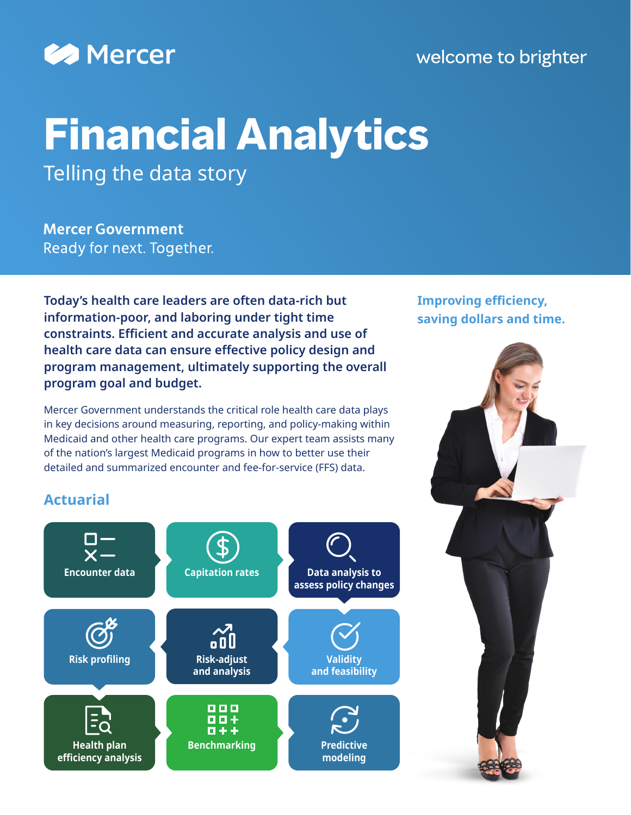

### welcome to brighter

# **Financial Analytics**  Telling the data story

**Mercer Government** Ready for next. Together.

**Today's health care leaders are often data-rich but information-poor, and laboring under tight time constraints. Efficient and accurate analysis and use of health care data can ensure effective policy design and program management, ultimately supporting the overall program goal and budget.**

Mercer Government understands the critical role health care data plays in key decisions around measuring, reporting, and policy-making within Medicaid and other health care programs. Our expert team assists many of the nation's largest Medicaid programs in how to better use their detailed and summarized encounter and fee-for-service (FFS) data.

**Improving efficiency, saving dollars and time.**

### **Actuarial**



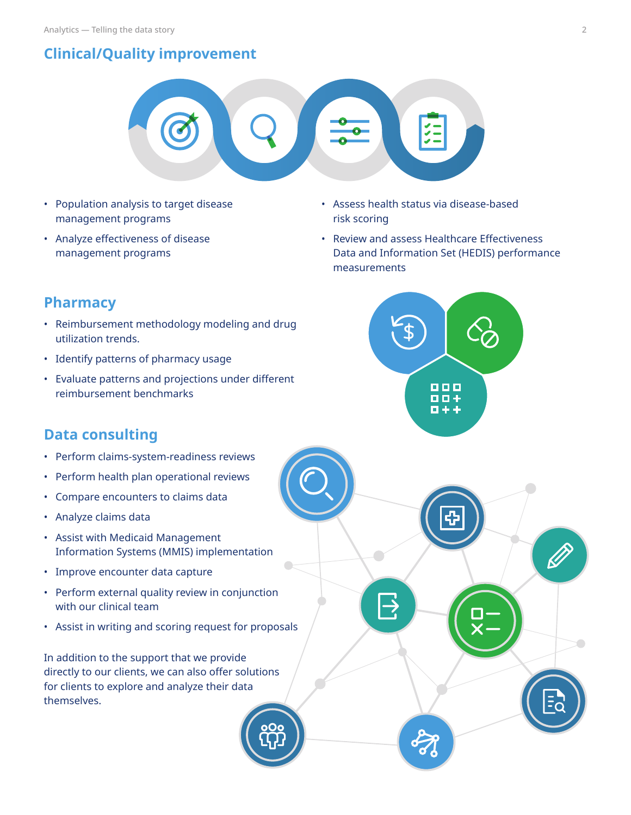### **Clinical/Quality improvement**



- Population analysis to target disease management programs
- Analyze effectiveness of disease management programs
- Assess health status via disease-based risk scoring
- Review and assess Healthcare Effectiveness Data and Information Set (HEDIS) performance measurements



 $\Rightarrow$ 

### **Pharmacy**

- Reimbursement methodology modeling and drug utilization trends.
- Identify patterns of pharmacy usage
- Evaluate patterns and projections under different reimbursement benchmarks

### **Data consulting**

- Perform claims-system-readiness reviews
- Perform health plan operational reviews
- Compare encounters to claims data
- Analyze claims data
- Assist with Medicaid Management Information Systems (MMIS) implementation
- Improve encounter data capture
- Perform external quality review in conjunction with our clinical team
- Assist in writing and scoring request for proposals

In addition to the support that we provide directly to our clients, we can also offer solutions for clients to explore and analyze their data themselves.